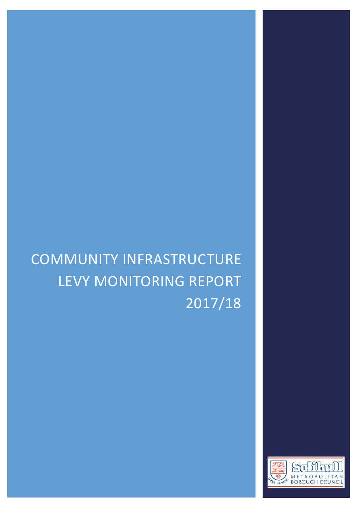# COMMUNITY INFRASTRUCTURE LEVY MONITORING REPORT 2017/18

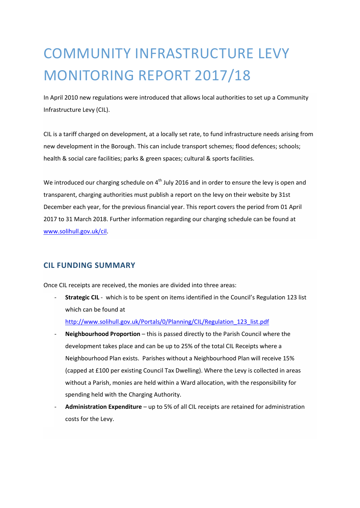## COMMUNITY INFRASTRUCTURE LEVY MONITORING REPORT 2017/18

In April 2010 new regulations were introduced that allows local authorities to set up a Community Infrastructure Levy (CIL).

CIL is a tariff charged on development, at a locally set rate, to fund infrastructure needs arising from new development in the Borough. This can include transport schemes; flood defences; schools; health & social care facilities; parks & green spaces; cultural & sports facilities.

We introduced our charging schedule on 4<sup>th</sup> July 2016 and in order to ensure the levy is open and transparent, charging authorities must publish a report on the levy on their website by 31st December each year, for the previous financial year. This report covers the period from 01 April 2017 to 31 March 2018. Further information regarding our charging schedule can be found at [www.solihull.gov.uk/cil.](http://www.solihull.gov.uk/cil)

#### **CIL FUNDING SUMMARY**

Once CIL receipts are received, the monies are divided into three areas:

**Strategic CIL** - which is to be spent on items identified in the Council's Regulation 123 list which can be found at

[http://www.solihull.gov.uk/Portals/0/Planning/CIL/Regulation\\_123\\_list.pdf](http://www.solihull.gov.uk/Portals/0/Planning/CIL/Regulation_123_list.pdf)

- Neighbourhood Proportion this is passed directly to the Parish Council where the development takes place and can be up to 25% of the total CIL Receipts where a Neighbourhood Plan exists. Parishes without a Neighbourhood Plan will receive 15% (capped at £100 per existing Council Tax Dwelling). Where the Levy is collected in areas without a Parish, monies are held within a Ward allocation, with the responsibility for spending held with the Charging Authority.
- **Administration Expenditure** up to 5% of all CIL receipts are retained for administration costs for the Levy.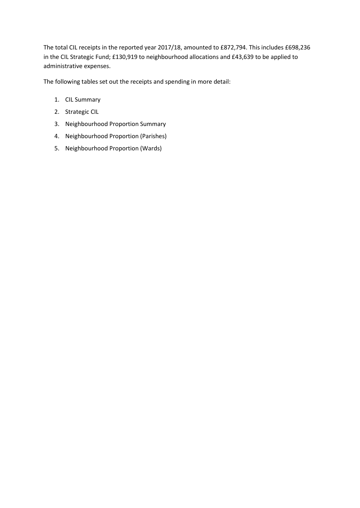The total CIL receipts in the reported year 2017/18, amounted to £872,794. This includes £698,236 in the CIL Strategic Fund; £130,919 to neighbourhood allocations and £43,639 to be applied to administrative expenses.

The following tables set out the receipts and spending in more detail:

- 1. CIL Summary
- 2. Strategic CIL
- 3. Neighbourhood Proportion Summary
- 4. Neighbourhood Proportion (Parishes)
- 5. Neighbourhood Proportion (Wards)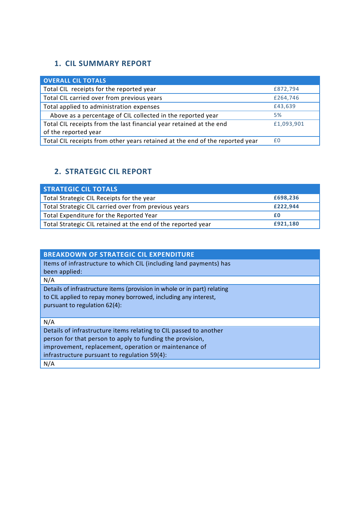## **1. CIL SUMMARY REPORT**

| <b>OVERALL CIL TOTALS</b>                                                    |            |
|------------------------------------------------------------------------------|------------|
| Total CIL receipts for the reported year                                     | £872,794   |
| Total CIL carried over from previous years                                   | £264,746   |
| Total applied to administration expenses                                     | £43,639    |
| Above as a percentage of CIL collected in the reported year                  | 5%         |
| Total CIL receipts from the last financial year retained at the end          | £1,093,901 |
| of the reported year                                                         |            |
| Total CIL receipts from other years retained at the end of the reported year | f0         |

## **2. STRATEGIC CIL REPORT**

| <b>STRATEGIC CIL TOTALS</b>                                  |          |
|--------------------------------------------------------------|----------|
| Total Strategic CIL Receipts for the year                    | £698,236 |
| Total Strategic CIL carried over from previous years         | £222,944 |
| Total Expenditure for the Reported Year                      | £Ο       |
| Total Strategic CIL retained at the end of the reported year | £921,180 |

| <b>BREAKDOWN OF STRATEGIC CIL EXPENDITURE</b>                            |
|--------------------------------------------------------------------------|
|                                                                          |
| Items of infrastructure to which CIL (including land payments) has       |
| been applied:                                                            |
| N/A                                                                      |
| Details of infrastructure items (provision in whole or in part) relating |
| to CIL applied to repay money borrowed, including any interest,          |
| pursuant to regulation 62(4):                                            |
|                                                                          |
| N/A                                                                      |
| Details of infrastructure items relating to CIL passed to another        |
| person for that person to apply to funding the provision,                |
| improvement, replacement, operation or maintenance of                    |
| infrastructure pursuant to regulation 59(4):                             |
| N/A                                                                      |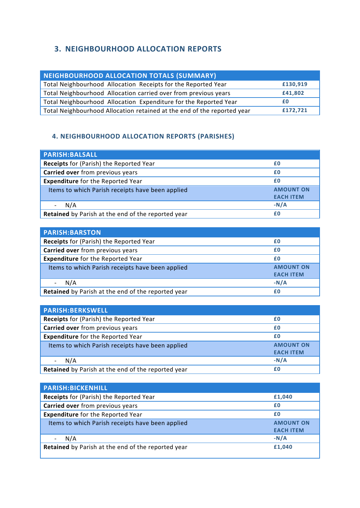## **3. NEIGHBOURHOOD ALLOCATION REPORTS**

| NEIGHBOURHOOD ALLOCATION TOTALS (SUMMARY)                               |          |
|-------------------------------------------------------------------------|----------|
| Total Neighbourhood Allocation Receipts for the Reported Year           | £130,919 |
| Total Neighbourhood Allocation carried over from previous years         | £41,802  |
| Total Neighbourhood Allocation Expenditure for the Reported Year        | £Ο       |
| Total Neighbourhood Allocation retained at the end of the reported year | £172,721 |

### **4. 4. NEIGHBOURHOOD ALLOCATION REPORTS (PARISHES)**

| <b>PARISH:BALSALL</b>                              |                                      |
|----------------------------------------------------|--------------------------------------|
| Receipts for (Parish) the Reported Year            | £Ο                                   |
| Carried over from previous years                   | £0                                   |
| <b>Expenditure</b> for the Reported Year           | £0                                   |
| Items to which Parish receipts have been applied   | <b>AMOUNT ON</b><br><b>EACH ITEM</b> |
| N/A                                                | $-N/A$                               |
| Retained by Parish at the end of the reported year | £0                                   |

| <b>PARISH:BARSTON</b>                              |                  |
|----------------------------------------------------|------------------|
| <b>Receipts</b> for (Parish) the Reported Year     | £0               |
| Carried over from previous years                   | £0               |
| <b>Expenditure</b> for the Reported Year           | £0               |
| Items to which Parish receipts have been applied   | <b>AMOUNT ON</b> |
|                                                    | <b>EACH ITEM</b> |
| N/A                                                | $-N/A$           |
| Retained by Parish at the end of the reported year | £0               |

| <b>PARISH:BERKSWELL</b>                                   |                  |
|-----------------------------------------------------------|------------------|
| Receipts for (Parish) the Reported Year                   | £0               |
| Carried over from previous years                          | £0               |
| <b>Expenditure</b> for the Reported Year                  | £0               |
| Items to which Parish receipts have been applied          | <b>AMOUNT ON</b> |
|                                                           | <b>EACH ITEM</b> |
| N/A                                                       | $-N/A$           |
| <b>Retained</b> by Parish at the end of the reported year | £Ο               |

| <b>PARISH:BICKENHILL</b>                                  |                  |
|-----------------------------------------------------------|------------------|
| Receipts for (Parish) the Reported Year                   | £1,040           |
| Carried over from previous years                          | £0               |
| <b>Expenditure</b> for the Reported Year                  | £0               |
| Items to which Parish receipts have been applied          | <b>AMOUNT ON</b> |
|                                                           | <b>EACH ITEM</b> |
| N/A                                                       | $-N/A$           |
| <b>Retained</b> by Parish at the end of the reported year | £1,040           |
|                                                           |                  |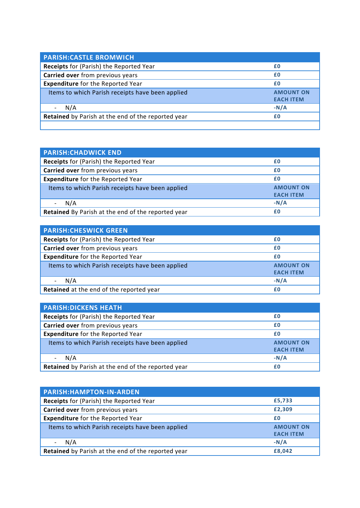| <b>PARISH: CASTLE BROMWICH</b>                     |                                      |
|----------------------------------------------------|--------------------------------------|
| Receipts for (Parish) the Reported Year            | £0                                   |
| Carried over from previous years                   | £0                                   |
| <b>Expenditure</b> for the Reported Year           | £0                                   |
| Items to which Parish receipts have been applied   | <b>AMOUNT ON</b><br><b>EACH ITEM</b> |
| N/A                                                | $-N/A$                               |
| Retained by Parish at the end of the reported year | £0                                   |
|                                                    |                                      |

| <b>PARISH: CHADWICK END</b>                        |                                      |
|----------------------------------------------------|--------------------------------------|
| <b>Receipts</b> for (Parish) the Reported Year     | £0                                   |
| Carried over from previous years                   | £0                                   |
| <b>Expenditure</b> for the Reported Year           | £0                                   |
| Items to which Parish receipts have been applied   | <b>AMOUNT ON</b><br><b>EACH ITEM</b> |
| N/A                                                | $-N/A$                               |
| Retained By Parish at the end of the reported year | £Ο                                   |

| <b>PARISH: CHESWICK GREEN</b>                    |                  |
|--------------------------------------------------|------------------|
| Receipts for (Parish) the Reported Year          | £0               |
| Carried over from previous years                 | £0               |
| <b>Expenditure</b> for the Reported Year         | £0               |
| Items to which Parish receipts have been applied | <b>AMOUNT ON</b> |
|                                                  | <b>EACH ITEM</b> |
| N/A                                              | $-N/A$           |
| Retained at the end of the reported year         | £0               |

| <b>PARISH: DICKENS HEATH</b>                              |                  |
|-----------------------------------------------------------|------------------|
| Receipts for (Parish) the Reported Year                   | £0               |
| Carried over from previous years                          | £0               |
| <b>Expenditure</b> for the Reported Year                  | £Ο               |
| Items to which Parish receipts have been applied          | <b>AMOUNT ON</b> |
|                                                           | <b>EACH ITEM</b> |
| N/A                                                       | $-N/A$           |
| <b>Retained</b> by Parish at the end of the reported year | £Ο               |

| <b>PARISH:HAMPTON-IN-ARDEN</b>                     |                                      |
|----------------------------------------------------|--------------------------------------|
| <b>Receipts</b> for (Parish) the Reported Year     | £5,733                               |
| Carried over from previous years                   | £2,309                               |
| <b>Expenditure</b> for the Reported Year           | £0                                   |
| Items to which Parish receipts have been applied   | <b>AMOUNT ON</b><br><b>EACH ITEM</b> |
| N/A                                                | $-N/A$                               |
| Retained by Parish at the end of the reported year | £8,042                               |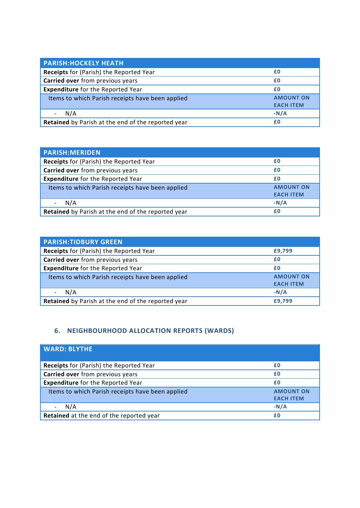| <b>PARISH: HOCKELY HEATH</b>                       |                                      |
|----------------------------------------------------|--------------------------------------|
| Receipts for (Parish) the Reported Year            | £0                                   |
| Carried over from previous years                   | £0                                   |
| <b>Expenditure</b> for the Reported Year           | £0                                   |
| Items to which Parish receipts have been applied   | <b>AMOUNT ON</b><br><b>EACH ITEM</b> |
| N/A                                                | $-N/A$                               |
| Retained by Parish at the end of the reported year | £0                                   |

| <b>PARISH:MERIDEN</b>                              |                                      |
|----------------------------------------------------|--------------------------------------|
| <b>Receipts</b> for (Parish) the Reported Year     | £0                                   |
| Carried over from previous years                   | £0                                   |
| <b>Expenditure</b> for the Reported Year           | £0                                   |
| Items to which Parish receipts have been applied   | <b>AMOUNT ON</b><br><b>EACH ITEM</b> |
| N/A                                                | $-N/A$                               |
| Retained by Parish at the end of the reported year | £Ο                                   |

| <b>PARISH:TIDBURY GREEN</b>                        |                  |
|----------------------------------------------------|------------------|
| Receipts for (Parish) the Reported Year            | £9,799           |
| Carried over from previous years                   | £0               |
| <b>Expenditure</b> for the Reported Year           | £0               |
| Items to which Parish receipts have been applied   | <b>AMOUNT ON</b> |
|                                                    | <b>EACH ITEM</b> |
| N/A                                                | $-N/A$           |
| Retained by Parish at the end of the reported year | £9,799           |

## **6. NEIGHBOURHOOD ALLOCATION REPORTS (WARDS)**

| <b>WARD: BLYTHE</b>                              |                                      |
|--------------------------------------------------|--------------------------------------|
| <b>Receipts</b> for (Parish) the Reported Year   | £0                                   |
| Carried over from previous years                 | £0                                   |
| <b>Expenditure</b> for the Reported Year         | £0                                   |
| Items to which Parish receipts have been applied | <b>AMOUNT ON</b><br><b>EACH ITEM</b> |
| N/A                                              | $-N/A$                               |
| Retained at the end of the reported year         | £0                                   |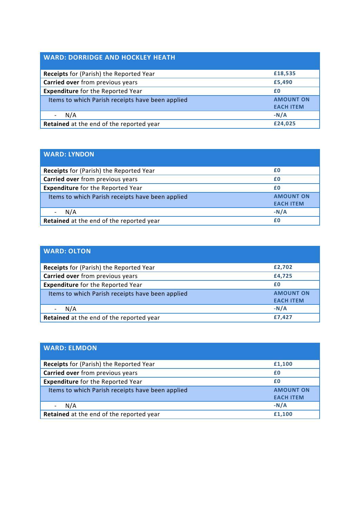## **WARD: DORRIDGE AND HOCKLEY HEATH**

| <b>Receipts</b> for (Parish) the Reported Year   | £18,535          |
|--------------------------------------------------|------------------|
| Carried over from previous years                 | £5,490           |
| <b>Expenditure</b> for the Reported Year         | £0               |
| Items to which Parish receipts have been applied | <b>AMOUNT ON</b> |
|                                                  | <b>EACH ITEM</b> |
| N/A                                              | $-N/A$           |
| Retained at the end of the reported year         | £24,025          |

| <b>WARD: LYNDON</b>                              |                                      |
|--------------------------------------------------|--------------------------------------|
| <b>Receipts</b> for (Parish) the Reported Year   | £0                                   |
| Carried over from previous years                 | £0                                   |
| <b>Expenditure</b> for the Reported Year         | £0                                   |
| Items to which Parish receipts have been applied | <b>AMOUNT ON</b><br><b>EACH ITEM</b> |
| N/A                                              | $-N/A$                               |
| Retained at the end of the reported year         | £0                                   |

| <b>WARD: OLTON</b>                               |                  |
|--------------------------------------------------|------------------|
| Receipts for (Parish) the Reported Year          | £2,702           |
| Carried over from previous years                 | £4,725           |
| <b>Expenditure</b> for the Reported Year         | £0               |
| Items to which Parish receipts have been applied | <b>AMOUNT ON</b> |
|                                                  | <b>EACH ITEM</b> |
| N/A                                              | $-N/A$           |
| Retained at the end of the reported year         | £7,427           |

| <b>WARD: ELMDON</b>                              |                                      |
|--------------------------------------------------|--------------------------------------|
| <b>Receipts</b> for (Parish) the Reported Year   | £1,100                               |
| Carried over from previous years                 | £0                                   |
| <b>Expenditure</b> for the Reported Year         | £0                                   |
| Items to which Parish receipts have been applied | <b>AMOUNT ON</b><br><b>EACH ITEM</b> |
| N/A                                              | $-N/A$                               |
| Retained at the end of the reported year         | £1,100                               |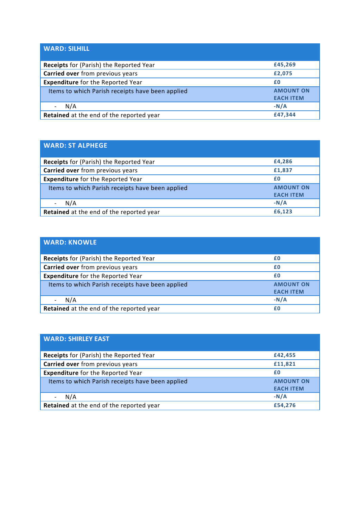| <b>WARD: SILHILL</b>                             |                                      |
|--------------------------------------------------|--------------------------------------|
| Receipts for (Parish) the Reported Year          | £45,269                              |
| Carried over from previous years                 | £2,075                               |
| <b>Expenditure</b> for the Reported Year         | £0                                   |
| Items to which Parish receipts have been applied | <b>AMOUNT ON</b><br><b>EACH ITEM</b> |
| N/A                                              | $-N/A$                               |
| Retained at the end of the reported year         | £47,344                              |

| <b>WARD: ST ALPHEGE</b>                          |                                      |
|--------------------------------------------------|--------------------------------------|
| <b>Receipts</b> for (Parish) the Reported Year   | £4,286                               |
| Carried over from previous years                 | £1,837                               |
| <b>Expenditure</b> for the Reported Year         | £0                                   |
| Items to which Parish receipts have been applied | <b>AMOUNT ON</b><br><b>EACH ITEM</b> |
| N/A                                              | $-N/A$                               |
| Retained at the end of the reported year         | £6,123                               |

| <b>WARD: KNOWLE</b>                              |                  |
|--------------------------------------------------|------------------|
| Receipts for (Parish) the Reported Year          | £0               |
| Carried over from previous years                 | £0               |
| <b>Expenditure</b> for the Reported Year         | £0               |
| Items to which Parish receipts have been applied | <b>AMOUNT ON</b> |
|                                                  | <b>EACH ITEM</b> |
| N/A                                              | $-N/A$           |
| Retained at the end of the reported year         | £0               |

| <b>WARD: SHIRLEY EAST</b>                        |                                      |
|--------------------------------------------------|--------------------------------------|
| Receipts for (Parish) the Reported Year          | £42,455                              |
| Carried over from previous years                 | £11,821                              |
| <b>Expenditure</b> for the Reported Year         | £0                                   |
| Items to which Parish receipts have been applied | <b>AMOUNT ON</b><br><b>EACH ITEM</b> |
| N/A                                              | $-N/A$                               |
| Retained at the end of the reported year         | £54,276                              |